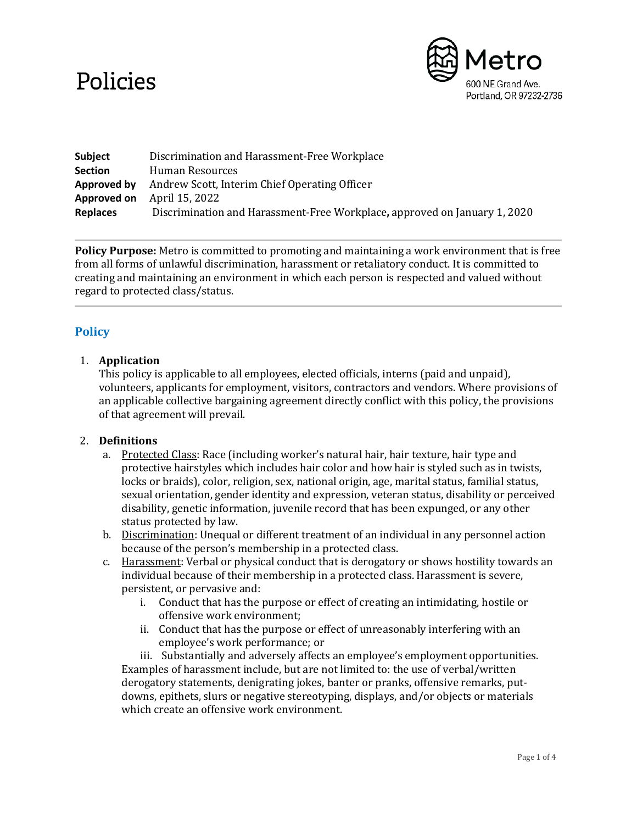# Policies



| <b>Subject</b>  | Discrimination and Harassment-Free Workplace                              |
|-----------------|---------------------------------------------------------------------------|
| <b>Section</b>  | Human Resources                                                           |
| Approved by     | Andrew Scott, Interim Chief Operating Officer                             |
|                 | <b>Approved on</b> April 15, 2022                                         |
| <b>Replaces</b> | Discrimination and Harassment-Free Workplace, approved on January 1, 2020 |

**Policy Purpose:** Metro is committed to promoting and maintaining a work environment that is free from all forms of unlawful discrimination, harassment or retaliatory conduct. It is committed to creating and maintaining an environment in which each person is respected and valued without regard to protected class/status.

## **Policy**

## 1. **Application**

This policy is applicable to all employees, elected officials, interns (paid and unpaid), volunteers, applicants for employment, visitors, contractors and vendors. Where provisions of an applicable collective bargaining agreement directly conflict with this policy, the provisions of that agreement will prevail.

#### 2. **Definitions**

- a. Protected Class: Race (including worker's natural hair, hair texture, hair type and protective hairstyles which includes hair color and how hair is styled such as in twists, locks or braids), color, religion, sex, national origin, age, marital status, familial status, sexual orientation, gender identity and expression, veteran status, disability or perceived disability, genetic information, juvenile record that has been expunged, or any other status protected by law.
- b. Discrimination: Unequal or different treatment of an individual in any personnel action because of the person's membership in a protected class.
- c. Harassment: Verbal or physical conduct that is derogatory or shows hostility towards an individual because of their membership in a protected class. Harassment is severe, persistent, or pervasive and:
	- i. Conduct that has the purpose or effect of creating an intimidating, hostile or offensive work environment;
	- ii. Conduct that has the purpose or effect of unreasonably interfering with an employee's work performance; or

iii. Substantially and adversely affects an employee's employment opportunities. Examples of harassment include, but are not limited to: the use of verbal/written derogatory statements, denigrating jokes, banter or pranks, offensive remarks, putdowns, epithets, slurs or negative stereotyping, displays, and/or objects or materials which create an offensive work environment.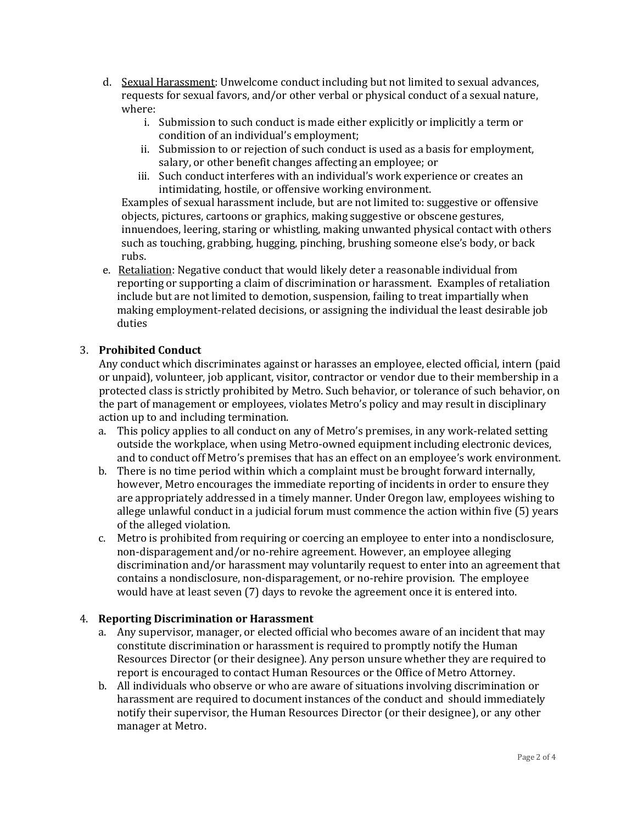- d. Sexual Harassment: Unwelcome conduct including but not limited to sexual advances, requests for sexual favors, and/or other verbal or physical conduct of a sexual nature, where:
	- i. Submission to such conduct is made either explicitly or implicitly a term or condition of an individual's employment;
	- ii. Submission to or rejection of such conduct is used as a basis for employment, salary, or other benefit changes affecting an employee; or
	- iii. Such conduct interferes with an individual's work experience or creates an intimidating, hostile, or offensive working environment.

Examples of sexual harassment include, but are not limited to: suggestive or offensive objects, pictures, cartoons or graphics, making suggestive or obscene gestures, innuendoes, leering, staring or whistling, making unwanted physical contact with others such as touching, grabbing, hugging, pinching, brushing someone else's body, or back rubs.

e. Retaliation: Negative conduct that would likely deter a reasonable individual from reporting or supporting a claim of discrimination or harassment. Examples of retaliation include but are not limited to demotion, suspension, failing to treat impartially when making employment-related decisions, or assigning the individual the least desirable job duties

## 3. **Prohibited Conduct**

Any conduct which discriminates against or harasses an employee, elected official, intern (paid or unpaid), volunteer, job applicant, visitor, contractor or vendor due to their membership in a protected class is strictly prohibited by Metro. Such behavior, or tolerance of such behavior, on the part of management or employees, violates Metro's policy and may result in disciplinary action up to and including termination.

- a. This policy applies to all conduct on any of Metro's premises, in any work-related setting outside the workplace, when using Metro-owned equipment including electronic devices, and to conduct off Metro's premises that has an effect on an employee's work environment.
- b. There is no time period within which a complaint must be brought forward internally, however, Metro encourages the immediate reporting of incidents in order to ensure they are appropriately addressed in a timely manner. Under Oregon law, employees wishing to allege unlawful conduct in a judicial forum must commence the action within five (5) years of the alleged violation.
- c. Metro is prohibited from requiring or coercing an employee to enter into a nondisclosure, non-disparagement and/or no-rehire agreement. However, an employee alleging discrimination and/or harassment may voluntarily request to enter into an agreement that contains a nondisclosure, non-disparagement, or no-rehire provision. The employee would have at least seven (7) days to revoke the agreement once it is entered into.

## 4. **Reporting Discrimination or Harassment**

- a. Any supervisor, manager, or elected official who becomes aware of an incident that may constitute discrimination or harassment is required to promptly notify the Human Resources Director (or their designee). Any person unsure whether they are required to report is encouraged to contact Human Resources or the Office of Metro Attorney.
- b. All individuals who observe or who are aware of situations involving discrimination or harassment are required to document instances of the conduct and should immediately notify their supervisor, the Human Resources Director (or their designee), or any other manager at Metro.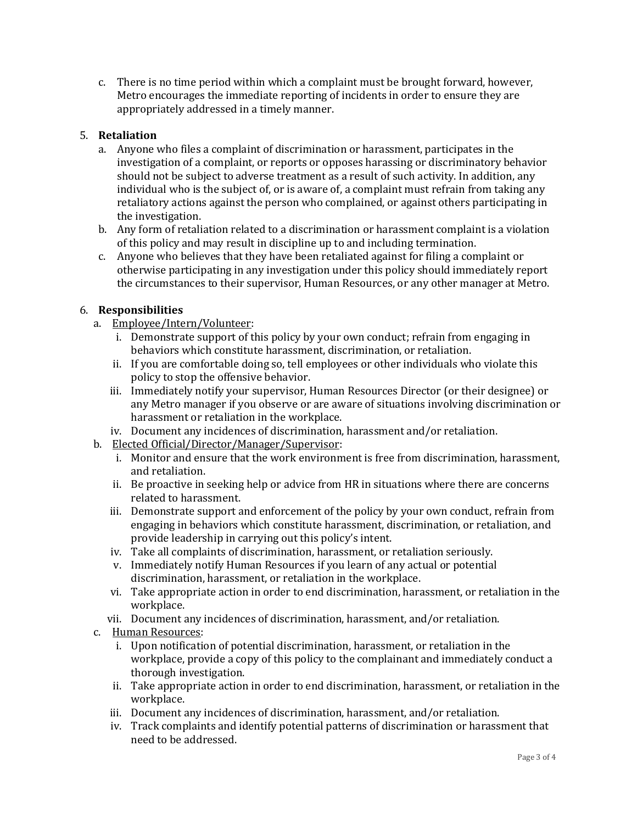c. There is no time period within which a complaint must be brought forward, however, Metro encourages the immediate reporting of incidents in order to ensure they are appropriately addressed in a timely manner.

#### 5. **Retaliation**

- a. Anyone who files a complaint of discrimination or harassment, participates in the investigation of a complaint, or reports or opposes harassing or discriminatory behavior should not be subject to adverse treatment as a result of such activity. In addition, any individual who is the subject of, or is aware of, a complaint must refrain from taking any retaliatory actions against the person who complained, or against others participating in the investigation.
- b. Any form of retaliation related to a discrimination or harassment complaint is a violation of this policy and may result in discipline up to and including termination.
- c. Anyone who believes that they have been retaliated against for filing a complaint or otherwise participating in any investigation under this policy should immediately report the circumstances to their supervisor, Human Resources, or any other manager at Metro.

## 6. **Responsibilities**

- a. Employee/Intern/Volunteer:
	- i. Demonstrate support of this policy by your own conduct; refrain from engaging in behaviors which constitute harassment, discrimination, or retaliation.
	- ii. If you are comfortable doing so, tell employees or other individuals who violate this policy to stop the offensive behavior.
	- iii. Immediately notify your supervisor, Human Resources Director (or their designee) or any Metro manager if you observe or are aware of situations involving discrimination or harassment or retaliation in the workplace.
	- iv. Document any incidences of discrimination, harassment and/or retaliation.
- b. Elected Official/Director/Manager/Supervisor:
	- i. Monitor and ensure that the work environment is free from discrimination, harassment, and retaliation.
	- ii. Be proactive in seeking help or advice from HR in situations where there are concerns related to harassment.
	- iii. Demonstrate support and enforcement of the policy by your own conduct, refrain from engaging in behaviors which constitute harassment, discrimination, or retaliation, and provide leadership in carrying out this policy's intent.
	- iv. Take all complaints of discrimination, harassment, or retaliation seriously.
	- v. Immediately notify Human Resources if you learn of any actual or potential discrimination, harassment, or retaliation in the workplace.
	- vi. Take appropriate action in order to end discrimination, harassment, or retaliation in the workplace.
	- vii. Document any incidences of discrimination, harassment, and/or retaliation.
- c. Human Resources:
	- i. Upon notification of potential discrimination, harassment, or retaliation in the workplace, provide a copy of this policy to the complainant and immediately conduct a thorough investigation.
	- ii. Take appropriate action in order to end discrimination, harassment, or retaliation in the workplace.
	- iii. Document any incidences of discrimination, harassment, and/or retaliation.
	- iv. Track complaints and identify potential patterns of discrimination or harassment that need to be addressed.